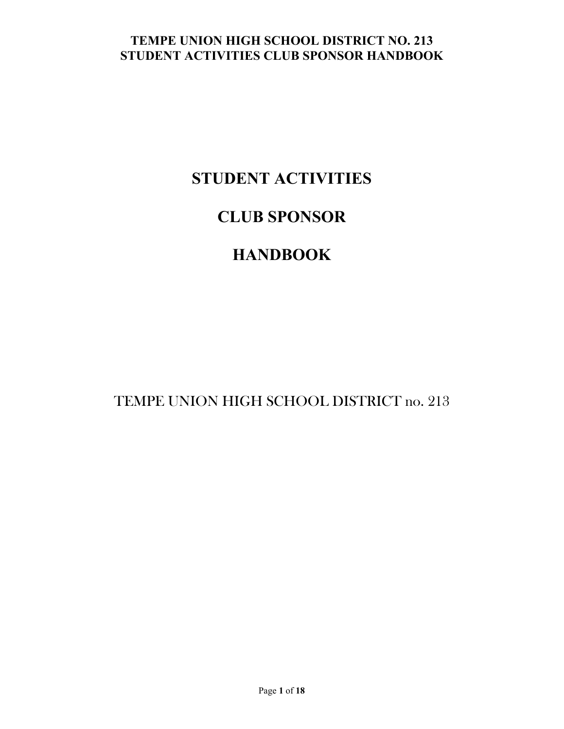# **STUDENT ACTIVITIES**

## **CLUB SPONSOR**

# **HANDBOOK**

TEMPE UNION HIGH SCHOOL DISTRICT no. 213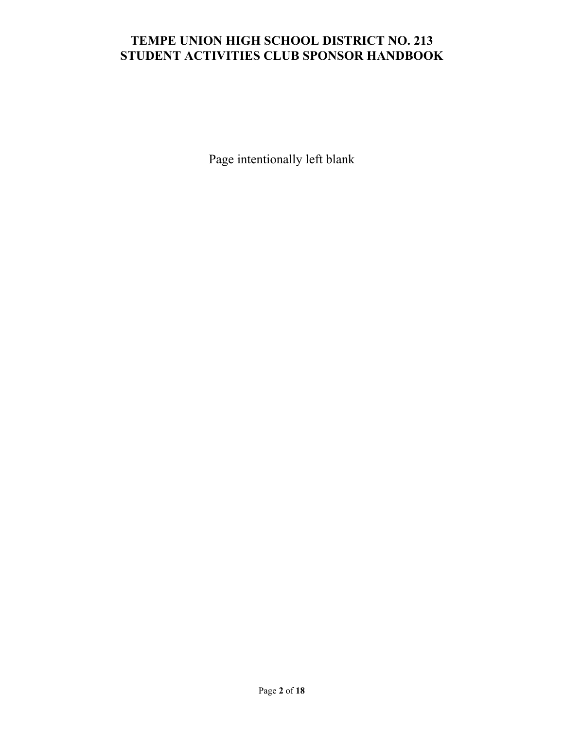Page intentionally left blank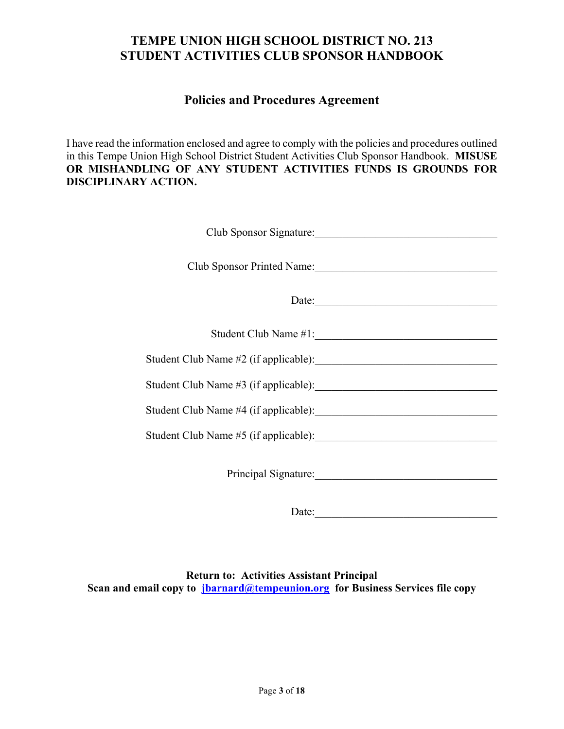#### **Policies and Procedures Agreement**

I have read the information enclosed and agree to comply with the policies and procedures outlined in this Tempe Union High School District Student Activities Club Sponsor Handbook. **MISUSE OR MISHANDLING OF ANY STUDENT ACTIVITIES FUNDS IS GROUNDS FOR DISCIPLINARY ACTION.** 

|       | Club Sponsor Signature:    |
|-------|----------------------------|
|       | Club Sponsor Printed Name: |
|       |                            |
|       | Student Club Name #1:      |
|       |                            |
|       |                            |
|       |                            |
|       |                            |
|       |                            |
| Date: |                            |

**Return to: Activities Assistant Principal Scan and email copy to** *jbarnard@tempeunion.org* **for Business Services file copy**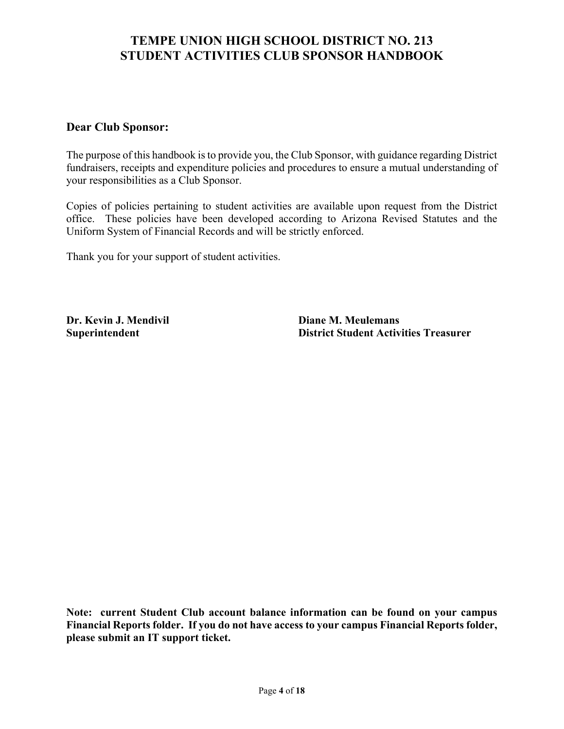#### **Dear Club Sponsor:**

The purpose of this handbook is to provide you, the Club Sponsor, with guidance regarding District fundraisers, receipts and expenditure policies and procedures to ensure a mutual understanding of your responsibilities as a Club Sponsor.

Copies of policies pertaining to student activities are available upon request from the District office. These policies have been developed according to Arizona Revised Statutes and the Uniform System of Financial Records and will be strictly enforced.

Thank you for your support of student activities.

**Dr. Kevin J. Mendivil Community Community Community Diane M. Meulemans** 

**Superintendent District Student Activities Treasurer** 

**Note: current Student Club account balance information can be found on your campus Financial Reports folder. If you do not have access to your campus Financial Reports folder, please submit an IT support ticket.**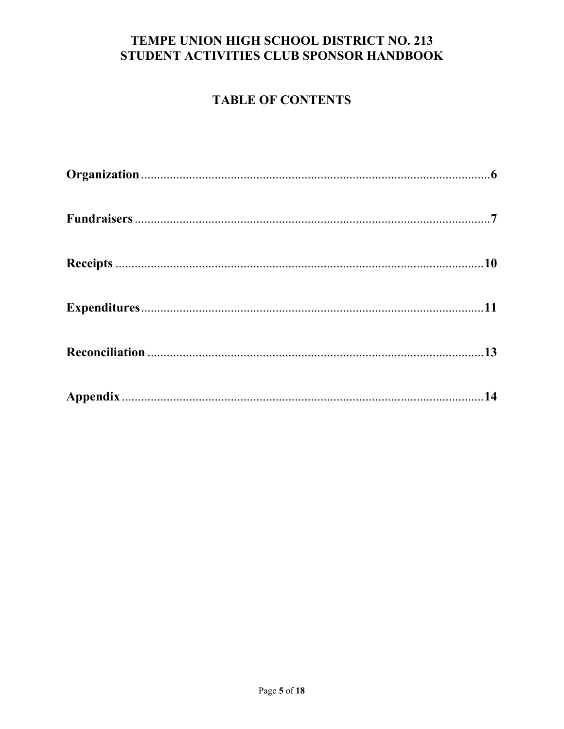### **TABLE OF CONTENTS**

| $Expenditures ________ ________ ________ ________ ________ ________ ________ ________ ________ ________ ________ ________ ________ ________ ________ ________ ________ ________ ________ ________ ________ ________ ________ ________ ________ ________ ________ ________ ________ ________ <$ |  |
|------------------------------------------------------------------------------------------------------------------------------------------------------------------------------------------------------------------------------------------------------------------------------------------------|--|
|                                                                                                                                                                                                                                                                                                |  |
|                                                                                                                                                                                                                                                                                                |  |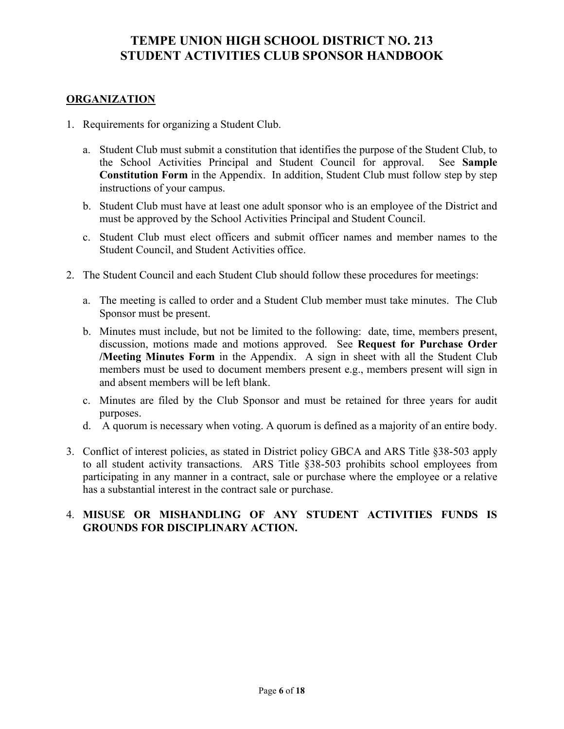#### **ORGANIZATION**

- 1. Requirements for organizing a Student Club.
	- a. Student Club must submit a constitution that identifies the purpose of the Student Club, to the School Activities Principal and Student Council for approval. See **Sample Constitution Form** in the Appendix. In addition, Student Club must follow step by step instructions of your campus.
	- b. Student Club must have at least one adult sponsor who is an employee of the District and must be approved by the School Activities Principal and Student Council.
	- c. Student Club must elect officers and submit officer names and member names to the Student Council, and Student Activities office.
- 2. The Student Council and each Student Club should follow these procedures for meetings:
	- a. The meeting is called to order and a Student Club member must take minutes. The Club Sponsor must be present.
	- b. Minutes must include, but not be limited to the following: date, time, members present, discussion, motions made and motions approved. See **Request for Purchase Order /Meeting Minutes Form** in the Appendix. A sign in sheet with all the Student Club members must be used to document members present e.g., members present will sign in and absent members will be left blank.
	- c. Minutes are filed by the Club Sponsor and must be retained for three years for audit purposes.
	- d. A quorum is necessary when voting. A quorum is defined as a majority of an entire body.
- 3. Conflict of interest policies, as stated in District policy GBCA and ARS Title §38-503 apply to all student activity transactions. ARS Title §38-503 prohibits school employees from participating in any manner in a contract, sale or purchase where the employee or a relative has a substantial interest in the contract sale or purchase.

#### 4. **MISUSE OR MISHANDLING OF ANY STUDENT ACTIVITIES FUNDS IS GROUNDS FOR DISCIPLINARY ACTION.**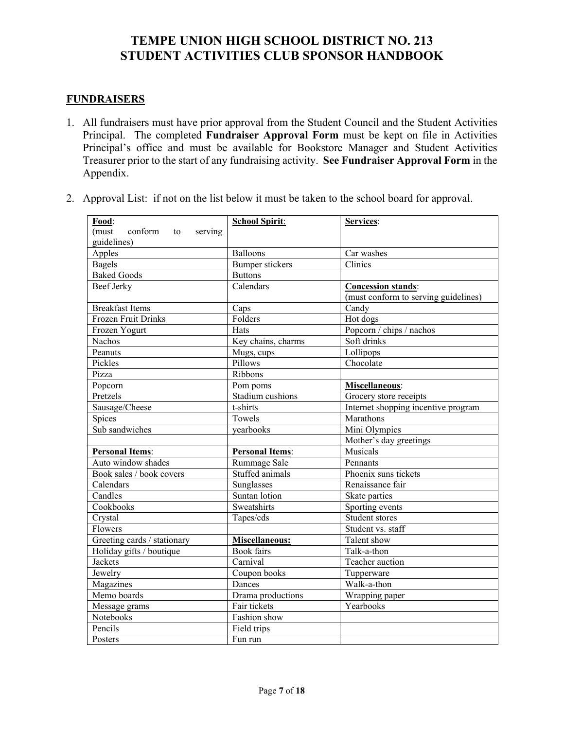#### **FUNDRAISERS**

- 1. All fundraisers must have prior approval from the Student Council and the Student Activities Principal. The completed **Fundraiser Approval Form** must be kept on file in Activities Principal's office and must be available for Bookstore Manager and Student Activities Treasurer prior to the start of any fundraising activity. **See Fundraiser Approval Form** in the Appendix.
- 2. Approval List: if not on the list below it must be taken to the school board for approval.

| Food:                             | <b>School Spirit:</b>  | Services:                            |
|-----------------------------------|------------------------|--------------------------------------|
| conform<br>(must<br>serving<br>to |                        |                                      |
| guidelines)                       |                        |                                      |
| Apples                            | <b>Balloons</b>        | Car washes                           |
| <b>Bagels</b>                     | <b>Bumper</b> stickers | Clinics                              |
| <b>Baked Goods</b>                | <b>Buttons</b>         |                                      |
| <b>Beef Jerky</b>                 | Calendars              | <b>Concession stands:</b>            |
|                                   |                        | (must conform to serving guidelines) |
| <b>Breakfast Items</b>            | Caps                   | Candy                                |
| Frozen Fruit Drinks               | Folders                | Hot dogs                             |
| Frozen Yogurt                     | Hats                   | Popcorn / chips / nachos             |
| <b>Nachos</b>                     | Key chains, charms     | Soft drinks                          |
| Peanuts                           | Mugs, cups             | Lollipops                            |
| Pickles                           | Pillows                | Chocolate                            |
| Pizza                             | Ribbons                |                                      |
| Popcorn                           | Pom poms               | Miscellaneous:                       |
| Pretzels                          | Stadium cushions       | Grocery store receipts               |
| Sausage/Cheese                    | t-shirts               | Internet shopping incentive program  |
| Spices                            | Towels                 | Marathons                            |
| Sub sandwiches                    | yearbooks              | Mini Olympics                        |
|                                   |                        | Mother's day greetings               |
| <b>Personal Items:</b>            | <b>Personal Items:</b> | Musicals                             |
| Auto window shades                | Rummage Sale           | Pennants                             |
| Book sales / book covers          | Stuffed animals        | Phoenix suns tickets                 |
| Calendars                         | Sunglasses             | Renaissance fair                     |
| Candles                           | Suntan lotion          | Skate parties                        |
| Cookbooks                         | Sweatshirts            | Sporting events                      |
| Crystal                           | Tapes/cds              | Student stores                       |
| Flowers                           |                        | Student vs. staff                    |
| Greeting cards / stationary       | <b>Miscellaneous:</b>  | Talent show                          |
| Holiday gifts / boutique          | <b>Book</b> fairs      | Talk-a-thon                          |
| Jackets                           | Carnival               | Teacher auction                      |
| Jewelry                           | Coupon books           | Tupperware                           |
| Magazines                         | Dances                 | Walk-a-thon                          |
| Memo boards                       | Drama productions      | Wrapping paper                       |
| Message grams                     | Fair tickets           | Yearbooks                            |
| Notebooks                         | Fashion show           |                                      |
| Pencils                           | Field trips            |                                      |
| Posters                           | Fun run                |                                      |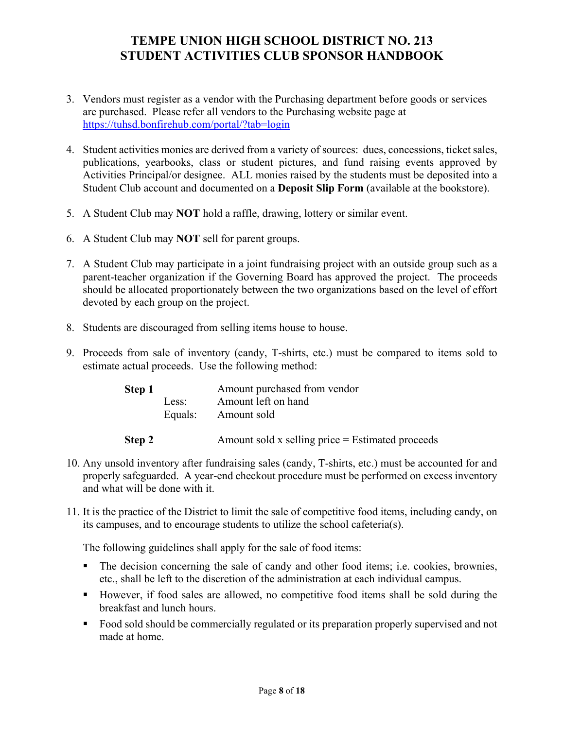- 3. Vendors must register as a vendor with the Purchasing department before goods or services are purchased. Please refer all vendors to the Purchasing website page at https://tuhsd.bonfirehub.com/portal/?tab=login
- 4. Student activities monies are derived from a variety of sources: dues, concessions, ticket sales, publications, yearbooks, class or student pictures, and fund raising events approved by Activities Principal/or designee. ALL monies raised by the students must be deposited into a Student Club account and documented on a **Deposit Slip Form** (available at the bookstore).
- 5. A Student Club may **NOT** hold a raffle, drawing, lottery or similar event.
- 6. A Student Club may **NOT** sell for parent groups.
- 7. A Student Club may participate in a joint fundraising project with an outside group such as a parent-teacher organization if the Governing Board has approved the project. The proceeds should be allocated proportionately between the two organizations based on the level of effort devoted by each group on the project.
- 8. Students are discouraged from selling items house to house.
- 9. Proceeds from sale of inventory (candy, T-shirts, etc.) must be compared to items sold to estimate actual proceeds. Use the following method:

| Step 1 |       | Amount purchased from vendor |
|--------|-------|------------------------------|
|        | Less: | Amount left on hand          |
|        |       | Equals: Amount sold          |
|        |       |                              |

- **Step 2** Amount sold x selling price = Estimated proceeds
- 10. Any unsold inventory after fundraising sales (candy, T-shirts, etc.) must be accounted for and properly safeguarded. A year-end checkout procedure must be performed on excess inventory and what will be done with it.
- 11. It is the practice of the District to limit the sale of competitive food items, including candy, on its campuses, and to encourage students to utilize the school cafeteria(s).

The following guidelines shall apply for the sale of food items:

- The decision concerning the sale of candy and other food items; i.e. cookies, brownies, etc., shall be left to the discretion of the administration at each individual campus.
- However, if food sales are allowed, no competitive food items shall be sold during the breakfast and lunch hours.
- Food sold should be commercially regulated or its preparation properly supervised and not made at home.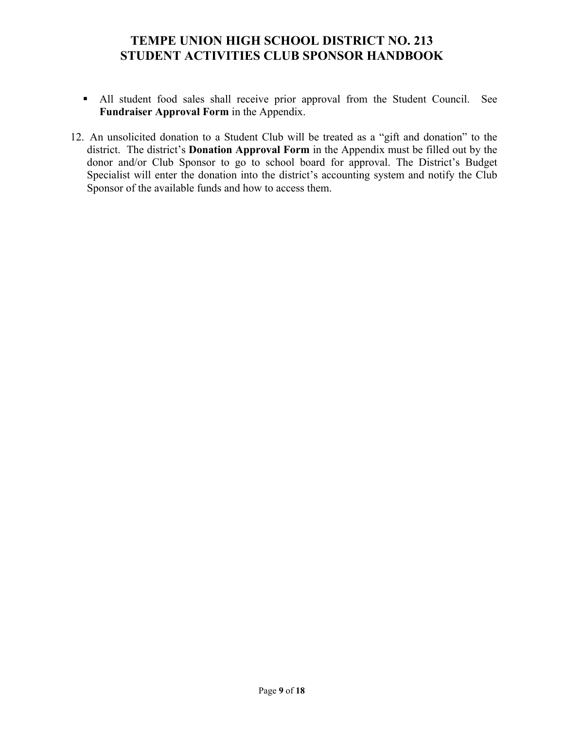- All student food sales shall receive prior approval from the Student Council. See Fundraiser Approval Form in the Appendix.
- 12. An unsolicited donation to a Student Club will be treated as a "gift and donation" to the district. The district's **Donation Approval Form** in the Appendix must be filled out by the donor and/or Club Sponsor to go to school board for approval. The District's Budget Specialist will enter the donation into the district's accounting system and notify the Club Sponsor of the available funds and how to access them.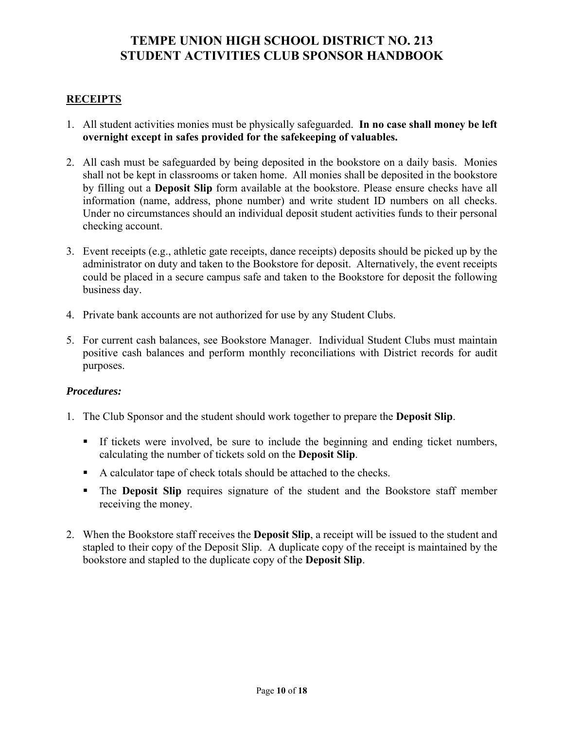#### **RECEIPTS**

- 1. All student activities monies must be physically safeguarded. **In no case shall money be left overnight except in safes provided for the safekeeping of valuables.**
- 2. All cash must be safeguarded by being deposited in the bookstore on a daily basis. Monies shall not be kept in classrooms or taken home. All monies shall be deposited in the bookstore by filling out a **Deposit Slip** form available at the bookstore. Please ensure checks have all information (name, address, phone number) and write student ID numbers on all checks. Under no circumstances should an individual deposit student activities funds to their personal checking account.
- 3. Event receipts (e.g., athletic gate receipts, dance receipts) deposits should be picked up by the administrator on duty and taken to the Bookstore for deposit. Alternatively, the event receipts could be placed in a secure campus safe and taken to the Bookstore for deposit the following business day.
- 4. Private bank accounts are not authorized for use by any Student Clubs.
- 5. For current cash balances, see Bookstore Manager. Individual Student Clubs must maintain positive cash balances and perform monthly reconciliations with District records for audit purposes.

#### *Procedures:*

- 1. The Club Sponsor and the student should work together to prepare the **Deposit Slip**.
	- If tickets were involved, be sure to include the beginning and ending ticket numbers, calculating the number of tickets sold on the **Deposit Slip**.
	- A calculator tape of check totals should be attached to the checks.
	- The **Deposit Slip** requires signature of the student and the Bookstore staff member receiving the money.
- 2. When the Bookstore staff receives the **Deposit Slip**, a receipt will be issued to the student and stapled to their copy of the Deposit Slip. A duplicate copy of the receipt is maintained by the bookstore and stapled to the duplicate copy of the **Deposit Slip**.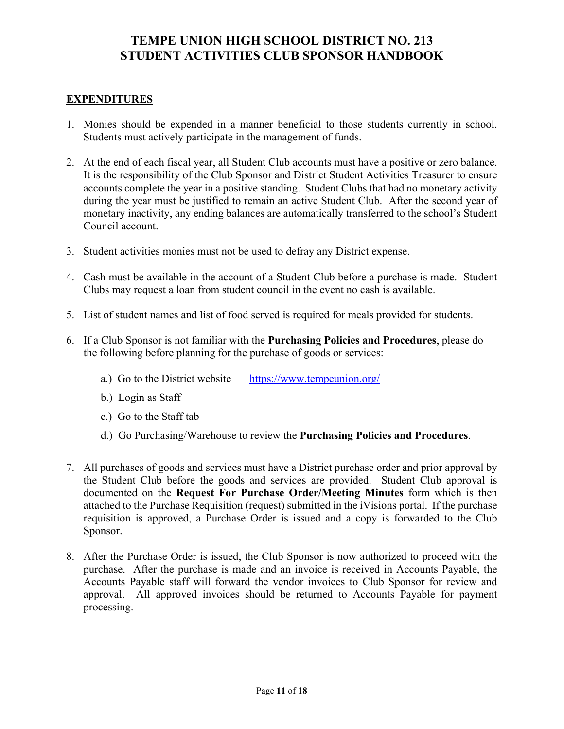#### **EXPENDITURES**

- 1. Monies should be expended in a manner beneficial to those students currently in school. Students must actively participate in the management of funds.
- 2. At the end of each fiscal year, all Student Club accounts must have a positive or zero balance. It is the responsibility of the Club Sponsor and District Student Activities Treasurer to ensure accounts complete the year in a positive standing. Student Clubs that had no monetary activity during the year must be justified to remain an active Student Club. After the second year of monetary inactivity, any ending balances are automatically transferred to the school's Student Council account.
- 3. Student activities monies must not be used to defray any District expense.
- 4. Cash must be available in the account of a Student Club before a purchase is made. Student Clubs may request a loan from student council in the event no cash is available.
- 5. List of student names and list of food served is required for meals provided for students.
- 6. If a Club Sponsor is not familiar with the **Purchasing Policies and Procedures**, please do the following before planning for the purchase of goods or services:
	- a.) Go to the District website https://www.tempeunion.org/
	- b.) Login as Staff
	- c.) Go to the Staff tab
	- d.) Go Purchasing/Warehouse to review the **Purchasing Policies and Procedures**.
- 7. All purchases of goods and services must have a District purchase order and prior approval by the Student Club before the goods and services are provided. Student Club approval is documented on the **Request For Purchase Order/Meeting Minutes** form which is then attached to the Purchase Requisition (request) submitted in the iVisions portal. If the purchase requisition is approved, a Purchase Order is issued and a copy is forwarded to the Club Sponsor.
- 8. After the Purchase Order is issued, the Club Sponsor is now authorized to proceed with the purchase. After the purchase is made and an invoice is received in Accounts Payable, the Accounts Payable staff will forward the vendor invoices to Club Sponsor for review and approval. All approved invoices should be returned to Accounts Payable for payment processing.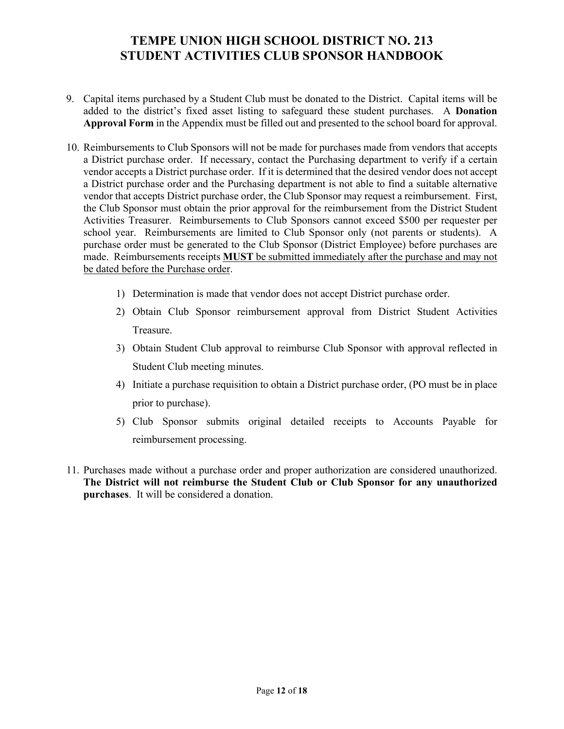- 9. Capital items purchased by a Student Club must be donated to the District. Capital items will be added to the district's fixed asset listing to safeguard these student purchases. A **Donation Approval Form** in the Appendix must be filled out and presented to the school board for approval.
- 10. Reimbursements to Club Sponsors will not be made for purchases made from vendors that accepts a District purchase order. If necessary, contact the Purchasing department to verify if a certain vendor accepts a District purchase order. If it is determined that the desired vendor does not accept a District purchase order and the Purchasing department is not able to find a suitable alternative vendor that accepts District purchase order, the Club Sponsor may request a reimbursement. First, the Club Sponsor must obtain the prior approval for the reimbursement from the District Student Activities Treasurer. Reimbursements to Club Sponsors cannot exceed \$500 per requester per school year. Reimbursements are limited to Club Sponsor only (not parents or students). A purchase order must be generated to the Club Sponsor (District Employee) before purchases are made. Reimbursements receipts **MUST** be submitted immediately after the purchase and may not be dated before the Purchase order.
	- 1) Determination is made that vendor does not accept District purchase order.
	- 2) Obtain Club Sponsor reimbursement approval from District Student Activities Treasure.
	- 3) Obtain Student Club approval to reimburse Club Sponsor with approval reflected in Student Club meeting minutes.
	- 4) Initiate a purchase requisition to obtain a District purchase order, (PO must be in place prior to purchase).
	- 5) Club Sponsor submits original detailed receipts to Accounts Payable for reimbursement processing.
- 11. Purchases made without a purchase order and proper authorization are considered unauthorized. **The District will not reimburse the Student Club or Club Sponsor for any unauthorized purchases**. It will be considered a donation.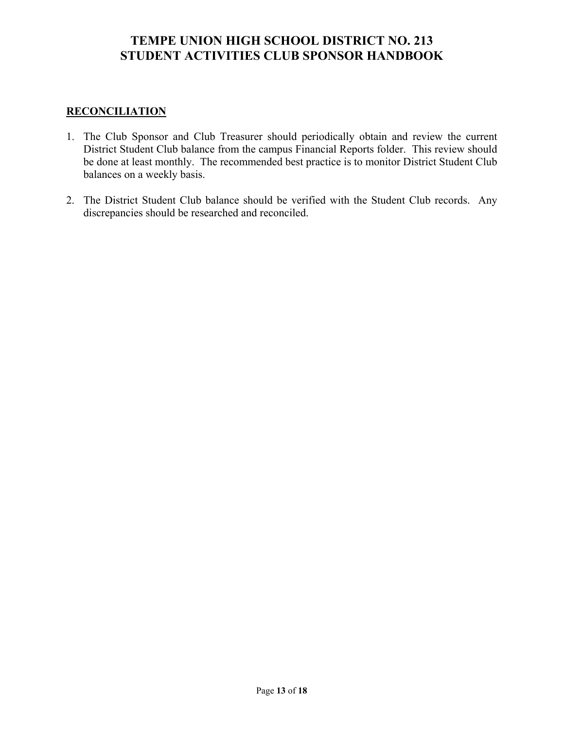#### **RECONCILIATION**

- 1. The Club Sponsor and Club Treasurer should periodically obtain and review the current District Student Club balance from the campus Financial Reports folder. This review should be done at least monthly. The recommended best practice is to monitor District Student Club balances on a weekly basis.
- 2. The District Student Club balance should be verified with the Student Club records. Any discrepancies should be researched and reconciled.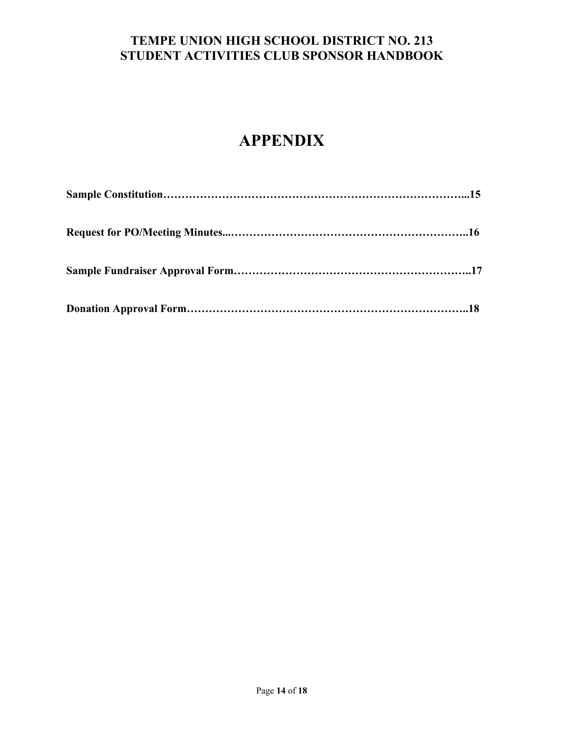# **APPENDIX**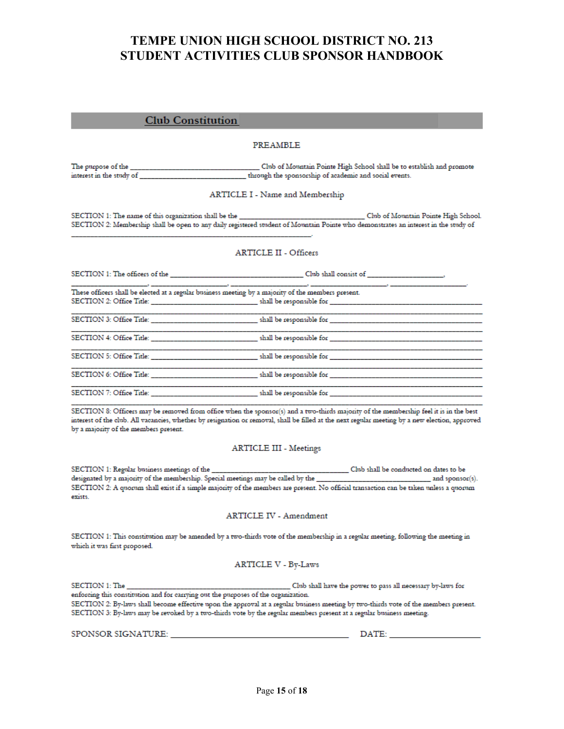#### **Club Constitution**

#### **PREAMBLE**

\_ Club of Mountain Pointe High School shall be to establish and promote The purpose of the interest in the study of through the sponsorship of academic and social events.

#### ARTICLE I - Name and Membership

SECTION 1: The name of this organization shall be the \_\_\_\_\_ \_ Club of Mountain Pointe High School. SECTION 2: Membership shall be open to any daily registered student of Mountain Pointe who demonstrates an interest in the study of

#### **ARTICLE II - Officers**

SECTION 1: The officers of the Club shall consist of

These officers shall be elected at a regular business meeting by a majority of the members present. SECTION 2: Office Title: \_\_\_\_\_\_\_\_\_\_\_\_\_\_\_\_\_\_\_\_\_\_\_\_\_\_\_\_\_\_\_\_\_\_ shall be responsible for \_\_\_\_\_\_

 $\rightarrow$ 

| SECTION 3: Office Title: Shall be responsible for Shall be responsible for Shall be responsible for Shall be responsible for Shall be responsible for Shall be responsible for Shall be responsible for Shall be responsible f |  |
|--------------------------------------------------------------------------------------------------------------------------------------------------------------------------------------------------------------------------------|--|
|                                                                                                                                                                                                                                |  |
|                                                                                                                                                                                                                                |  |
|                                                                                                                                                                                                                                |  |
|                                                                                                                                                                                                                                |  |
|                                                                                                                                                                                                                                |  |
|                                                                                                                                                                                                                                |  |
|                                                                                                                                                                                                                                |  |
|                                                                                                                                                                                                                                |  |
|                                                                                                                                                                                                                                |  |

SECTION 8: Officers may be removed from office when the sponsor(s) and a two-thirds majority of the membership feel it is in the best interest of the club. All vacancies, whether by resignation or removal, shall be filled at the next regular meeting by a new election, approved by a majority of the members present.

#### **ARTICLE III - Meetings**

\_ Club shall be conducted on dates to be SECTION 1: Regular business meetings of the designated by a majority of the membership. Special meetings may be called by the SECTION 2: A quorum shall exist if a simple majority of the members are present. No official transaction can be taken unless a quorum exists.

#### **ARTICLE IV - Amendment**

SECTION 1: This constitution may be amended by a two-thirds vote of the membership in a regular meeting, following the meeting in which it was first proposed.

#### **ARTICLE V - By-Laws**

SECTION 1: The Club shall have the power to pass all necessary by-laws for enforcing this constitution and for carrying out the purposes of the organization.

SECTION 2: By-laws shall become effective upon the approval at a regular business meeting by two-thirds vote of the members present. SECTION 3: By-laws may be revoked by a two-thirds vote by the regular members present at a regular business meeting.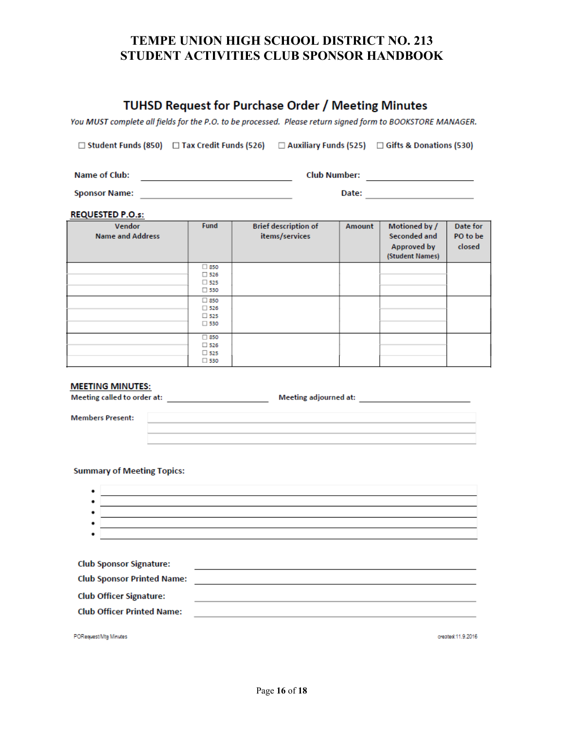#### TUHSD Request for Purchase Order / Meeting Minutes

You MUST complete all fields for the P.O. to be processed. Please return signed form to BOOKSTORE MANAGER.

□ Student Funds (850) □ Tax Credit Funds (526) □ Auxiliary Funds (525) □ Gifts & Donations (530)

**Sponsor Name:** 

#### **REQUESTED P.O.s:**

| Vendor<br><b>Name and Address</b> | <b>Fund</b>                                                   | <b>Brief description of</b><br>items/services | Amount | Motioned by /<br>Seconded and<br><b>Approved by</b><br>(Student Names) | Date for<br>PO to be<br>closed |
|-----------------------------------|---------------------------------------------------------------|-----------------------------------------------|--------|------------------------------------------------------------------------|--------------------------------|
|                                   | $\square$ 850<br>$\Box$ 526<br>$\square$ 525<br>$\Box$ 530    |                                               |        |                                                                        |                                |
|                                   | $\square$ 850<br>$\Box$ 526<br>$\square$ 525<br>$\Box$ 530    |                                               |        |                                                                        |                                |
|                                   | $\Box$ 850<br>$\square$ 526<br>$\square$ 525<br>$\square$ 530 |                                               |        |                                                                        |                                |

#### **MEETING MINUTES:**

**Members Present:** 

#### **Summary of Meeting Topics:**

| ٠                                 |                   |
|-----------------------------------|-------------------|
| ٠                                 |                   |
| ٠                                 |                   |
| ٠                                 |                   |
| ٠                                 |                   |
|                                   |                   |
| <b>Club Sponsor Signature:</b>    |                   |
| <b>Club Sponsor Printed Name:</b> |                   |
|                                   |                   |
| <b>Club Officer Signature:</b>    |                   |
| <b>Club Officer Printed Name:</b> |                   |
|                                   |                   |
| PORequest/Mtg Minutes             | created:11.9.2016 |

created:11.9.2016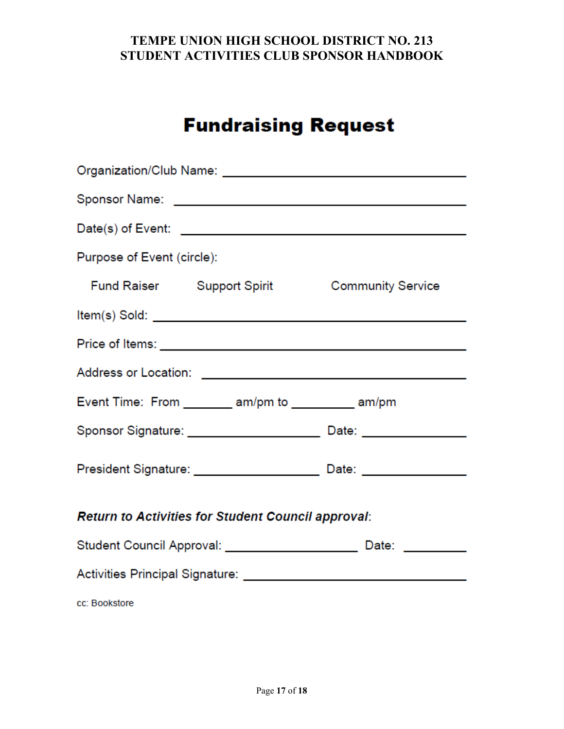# **Fundraising Request**

| Purpose of Event (circle): |                                                           |                          |
|----------------------------|-----------------------------------------------------------|--------------------------|
|                            | Fund Raiser Support Spirit                                | <b>Community Service</b> |
|                            |                                                           |                          |
|                            |                                                           |                          |
|                            |                                                           |                          |
|                            | Event Time: From ________ am/pm to _________ am/pm        |                          |
|                            |                                                           |                          |
|                            |                                                           |                          |
|                            | <b>Return to Activities for Student Council approval:</b> |                          |
|                            |                                                           |                          |
|                            |                                                           |                          |
| cc: Bookstore              |                                                           |                          |